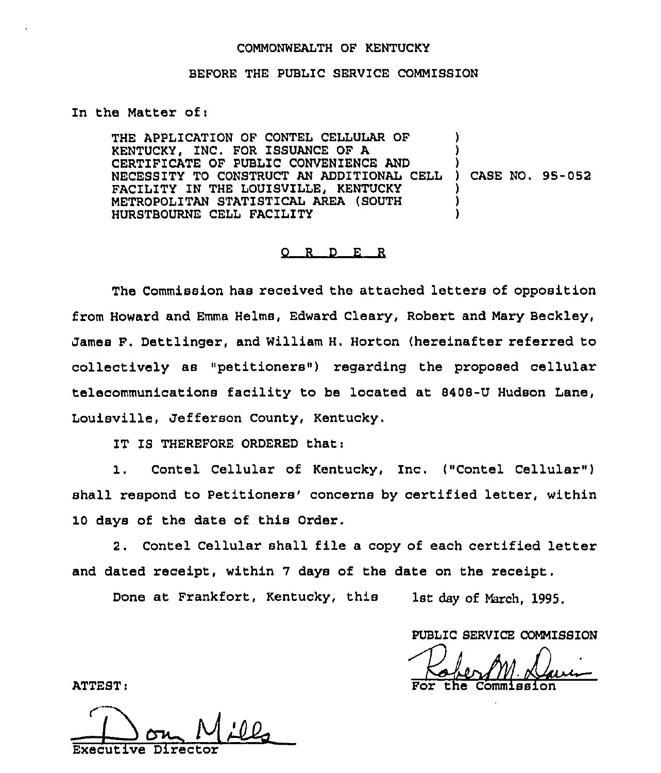## COMMONWEALTH OF KENTUCKY

## BEFORE THE PUBLIC SERVICE COMMISSION

## In the Matter of <sup>i</sup>

THE APPLICATION OF CONTEL CELLULAR OF KENTUCKY, INC. FOR ISSUANCE OF A CERTIFICATE OF PUBLIC CONVENIENCE AND NECESSITY TO CONSTRUCT AN ADDITIONAL CELL FACILITY IN THE LOUISVILLE, KENTUCKY METROPOLITAN STATISTICAL AREA (SOUTH HURSTBOURNE CELL FACILITY ) ) ) ) CASE NO. 95-052 ) ) )

## 0 <sup>R</sup> <sup>D</sup> E R

The Commission has received the attached letters of opposition from Howard and Emma Helms, Edward Cleary, Robert and Mary Beckley, James F. Dettlinger, and William H. Horton (hereinafter referred to collectively as "petitioners") regarding the proposed cellular telecommunications facility to be located at 8408-U Hudson Lane, Louisville, Jefferson County, Kentucky.

IT IS THEREFORE ORDERED that:

1. Contel Cellular of Kentucky, Inc. ("Contel Cellular" ) shall respond to Petitioners' concerns by certified letter, within 10 days of the date of this Order.

2. Contel Cellular shall file a copy of each certified letter and dated receipt, within 7 days of the date on the receipt.

Done at Frankfort, Kentucky, this 1st day of March, 1995.

PUBLIC SERVICE COMMISSION

the Commiss

ATTEST:

<u>|</u> Evecut ive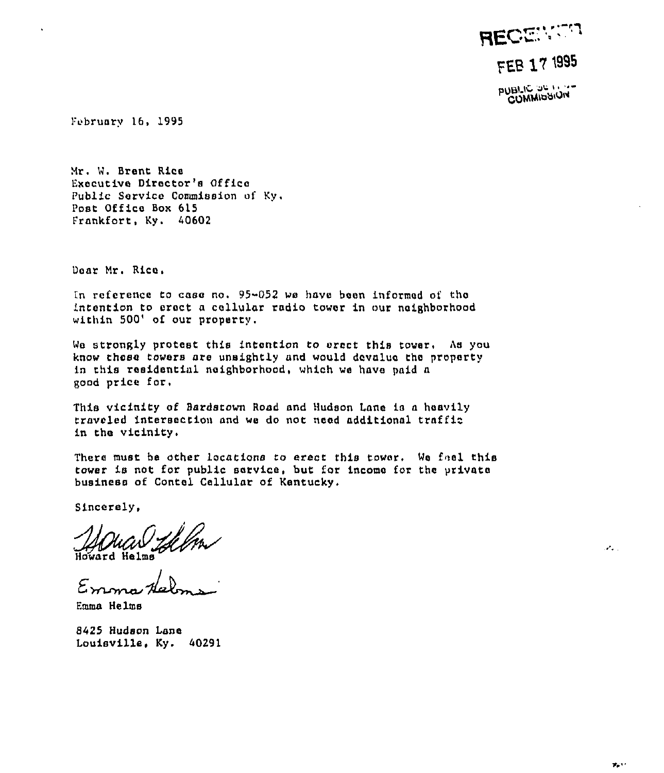RECENTR FEB 17 1995

PUBLIC OF ION

February 16, 1995

Mr. W. Brent Rice Executive Director's Office Public Service Commission of Ky. Post Office Box 615 Frankfort, Ky. 40602

Dear Mr. Rice.

In reference to case no. 95-052 we have been informed of the intention to erect a cellular radio tower in our neighborhood within 500' of our property.

We strongly protest this intention to erect this tower. As you know these towers are unsightly and would devalue the property in this residential neighborhood, which we have paid a good price for.

This vicinity of Bardstown Road and Hudson Lane is a heavily traveled intersection and we do not need additional traffic in the vicinity.

There must be other locations to erect this tower. We fael this tower is not for public service, but for income for the private business of Contel Cellular of Kentucky.

Sincerely,

Howard Helme

 $Emmu$ 

Emma Helms

8425 Hudson Lane Louisville, Ky. 40291  $\mathcal{L}_{\text{max}}$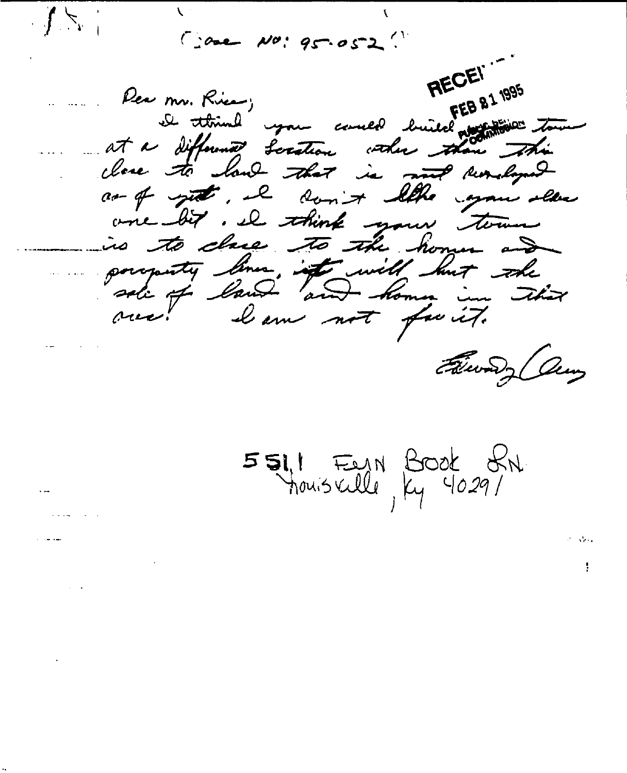$C$  are  $N0!95.052$ 

 $\frac{1}{2}$ 

RECEI" De think you could build not to tout Rea mr. Rice; at a different Scrition with them this close to land that is not reveloped as of yet, it don't like your slaw one bit. I think your town is to cheer to the home and porquety lines, if will but the lam not fuit.  $\alpha$ Filiway any

5511 Fern Book SN.

ţ.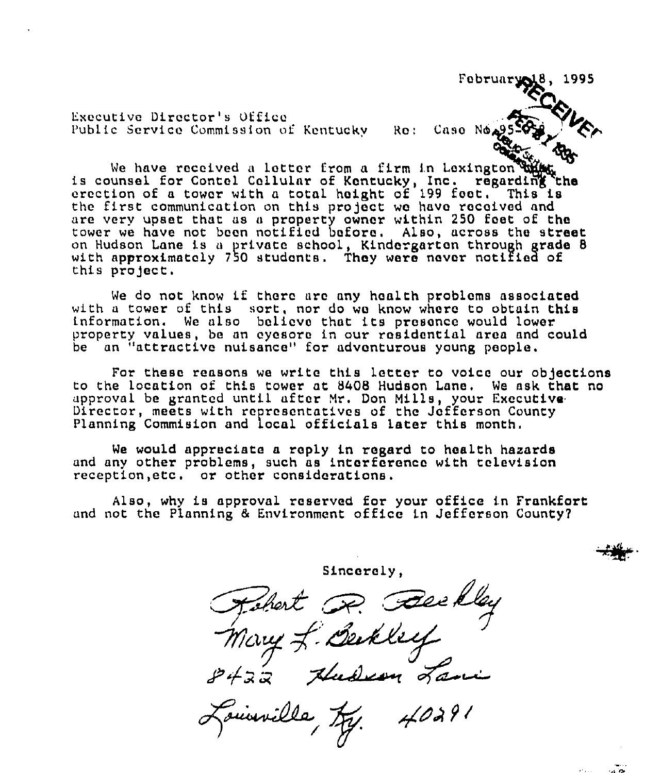Executive Director's Office Public Service Commission of Kentucky Ro: Case Ne. 25.

February  $18, 1995$ 

We have received a lotter from a firm in Lexington the is counsel for Contel Cellular of Kentucky, Inc. regarding erection of a tower with a total height of 199 feet. This is the first communication on this project we have received and are very upset that as a property owner within 250 feet of the tower we have not boon notified before. Also, across the street on Hudson Lane is <sup>a</sup> private school, Kindergarten through grade 8 with approximately 750 students. They were never notified of this project.

We do not know if there are any health problems associated with a tower of this sort, nor do we know where to obtain this information. We also baliovo that its prosance would lower property values, be an eyesore in our residential area and could be an "attractive nuisance" for adventurous young people.

For these reasons we write this letter to voice our objections to the location of this tower at 8408 Hudson Lane, We ask that no approval be granted until after Mr. Don Mills, your Executive Director, meets with representatives of the Jefferson County Planning Commision and local officials later this month.

We would appreciate a reply in regard to health hazards and any other problems, such as intorforence with television reception,etc, or other considerations.

Also, why is approval reserved for your office in Frankfort and not the Planning & Environment office in Jefforson County?

Sincerely,<br>Mary J. Bekley<br>19432 Hudson Lane Fournilla,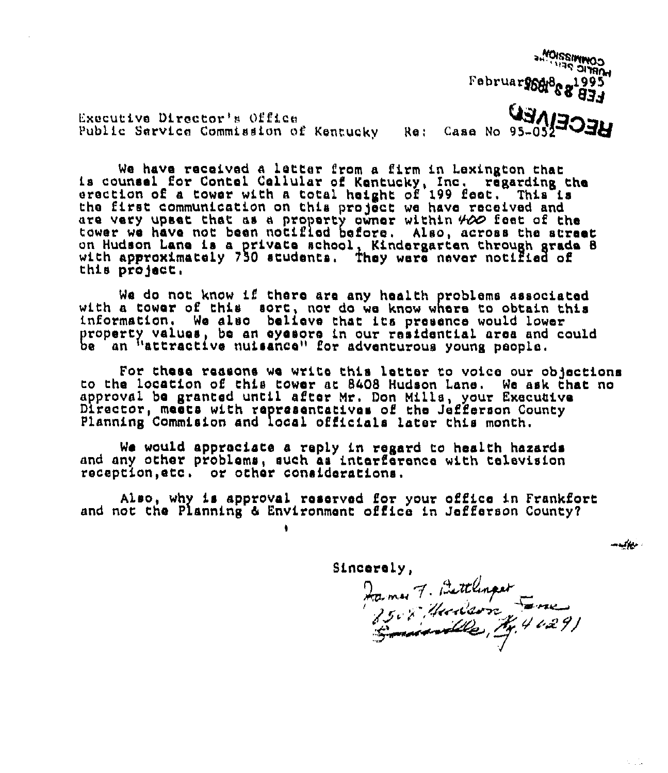Executive Director's Office Public Sarvice Commission of Kentucky (Re: Case No 95-052 a, **"OOSSIMI**  $\sum_{\alpha}$ Februar 1948 6 1995 **RECEIVER** 

We have received a latter from a firm in Lexington that<br>is counsel for Contal Callular of Kentucky, Inc. regarding the<br>erection of a tower with a total height of 199 feet. This is the first communication on this project wo have received and are very upset that as a property owner within  $\#$  feet of the tower we have not been notified before. Also, across the street on Hudson Lane is a private school, Kindergarten through grade 8 with approximately 750 students. They were never notified of this project.

We do not know if there are any health problems associated with a tower of this sort, nor do we know where to obtain this information. We also believe that its presence would lower property values, be an eyesore in our residential area and could be an "attractive nuisance" for adventurous young people.

For these reasons we write this letter to voice our objections to the location of this tower at 8408 Hudson Lane, Wa ask that no approval ba granted until after Mr. Don Mills, your Execuaive Director, meets with representatives of the Jefferson County Planning Commision and local officials later this month.

We would appreciate a reply in regard to health hazards and any other problems, such as interference with television reception, etc. or other considerations.

Also, why is approval reserved for your office in Frankfort and not the Planning & Environment office in Jefferson County?

Sincerely,

y,<br>47. Bettlinger  $A, 4, 4, 29$ 

مستخدمت

 $\sim 10^6$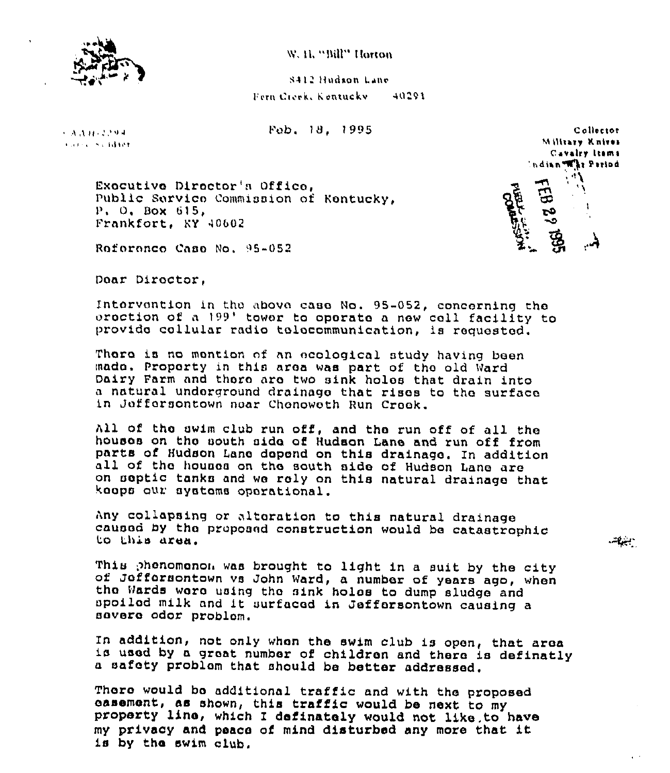

W. H. "Bill" Horton

8412 Hudson Lane Fern Creek, Kontucky 40291

Fob. 18. 1995

 $9.3.3.0132294$ Concerts of Bretto

> Exocutive Director's Office. Public Service Commission of Kentucky.  $P$ , O. Box 615. Frankfort, KY 40602

Collector Military Knives Cavalry Itams Indian War Parind

 $-1$ 

Roforonco Caso No. 95-052

Doar Director.

Intervention in the above case No. 95-052, concerning the oroction of a 199' tower to operate a new cell facility to provide collular radio telecommunication, is requested.

There is no mention of an ecological study having been mado. Proporty in this area was part of the old Ward Dairy Farm and there are two sink holes that drain into a natural undorground drainage that rises to the surface in Jeffersontown near Chenoweth Run Creek.

All of the swim club run off, and the run off of all the houses on the south side of Hudson Lane and run off from parts of Hudson Lane depend on this drainage. In addition all of the houses on the south side of Hudson Lane are on septic tanks and we rely on this natural drainage that koops our systems operational.

Any collapsing or altoration to this natural drainage caused by the proposed construction would be catastrophic to this area.

This phenomenon was brought to light in a suit by the city of Jeffersontown vs John Ward, a number of years ago, when the Wards were using the sink holes to dump sludge and spoiled milk and it surfaced in Jeffersontown causing a severe odor problem.

In addition, not only when the swim club is open, that area is used by a great number of children and there is definatly a safety problem that should be better addressed.

There would be additional traffic and with the proposed casement, as shown, this traffic would be next to my property line, which I definately would not like to have my privacy and peace of mind disturbed any more that it is by the swim club.